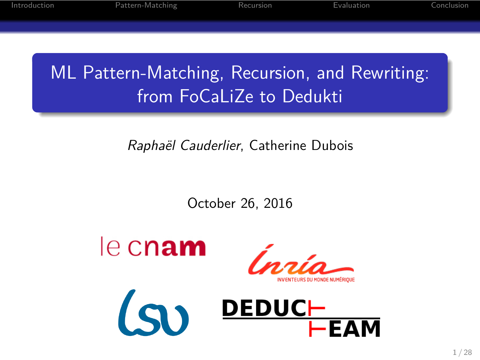ML Pattern-Matching, Recursion, and Rewriting: from FoCaLiZe to Dedukti

Introduction Pattern-Matching Recursion Evaluation Conclusion

*Raphaël Cauderlier*, Catherine Dubois

October 26, 2016



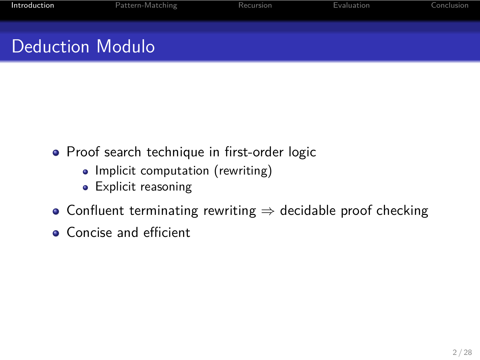#### Deduction Modulo

Introduction **Pattern-Matching** 

- Proof search technique in first-order logic
	- Implicit computation (rewriting)
	- Explicit reasoning
- Confluent terminating rewriting *⇒* decidable proof checking
- **•** Concise and efficient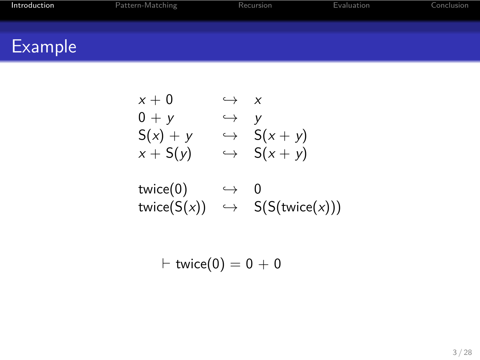## Example

 $x + 0$   $\rightarrow$  *x*<br> $0 + y$   $\rightarrow$  *y*  $0 + y$   $\rightarrow$  *y*<br> $S(x) + y$   $\rightarrow$   $S(x)$ <br> $x + S(y)$   $\rightarrow$   $S(x)$  $S(x) + y \hookrightarrow S(x + y)$  $x + S(y) \rightarrow S(x + y)$  $twice(0) \longrightarrow 0$  $twice(S(x)) \rightarrow S(S(twice(x)))$ 

$$
\vdash \mathsf{twice}(0) = 0 + 0
$$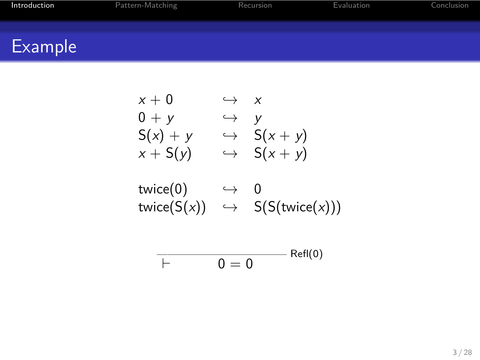# Example

$$
x + 0 \qquad \hookrightarrow \qquad x
$$
  
\n
$$
0 + y \qquad \hookrightarrow \qquad y
$$
  
\n
$$
S(x) + y \qquad \hookrightarrow \qquad S(x + y)
$$
  
\n
$$
x + S(y) \qquad \hookrightarrow \qquad S(x + y)
$$
  
\n
$$
twice(0) \qquad \hookrightarrow \qquad 0
$$
  
\n
$$
twice(S(x)) \qquad \hookrightarrow \qquad S(S(twice(x)))
$$
  
\n
$$
\overline{\qquad \qquad \vdots}
$$
  
\n
$$
\qquad \qquad \overline{\qquad \qquad }
$$
  
\n
$$
F \qquad 0 = 0
$$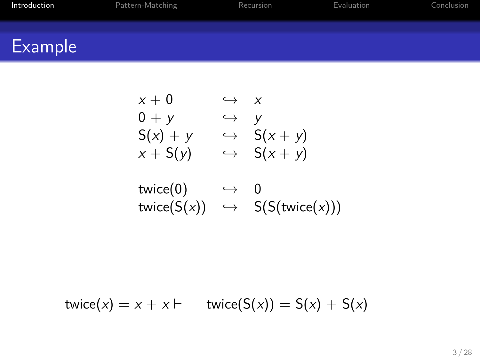## Example

$$
x + 0 \qquad \hookrightarrow \qquad x
$$
  
\n
$$
0 + y \qquad \hookrightarrow \qquad y
$$
  
\n
$$
S(x) + y \qquad \hookrightarrow \qquad S(x + y)
$$
  
\n
$$
x + S(y) \qquad \hookrightarrow \qquad S(x + y)
$$
  
\n
$$
twice(0) \qquad \hookrightarrow \qquad 0
$$
  
\n
$$
twice(S(x)) \qquad \hookrightarrow \qquad S(S(twice(x)))
$$

Introduction **Pattern-Matching** Recursion Evaluation Evaluation

 $twice(x) = x + x \vdash$   $twice(S(x)) = S(x) + S(x)$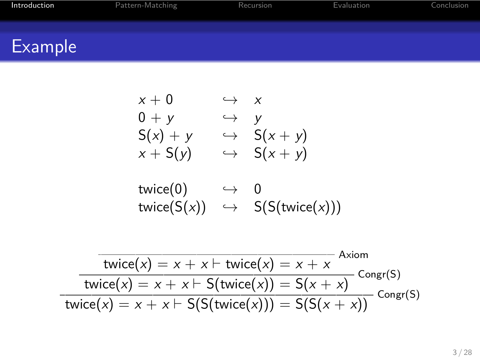$$
0 + y \qquad \rightarrow \qquad y
$$
  
\n
$$
S(x) + y \qquad \rightarrow \qquad S(x + y)
$$
  
\n
$$
x + S(y) \qquad \rightarrow \qquad S(x + y)
$$
  
\n
$$
twice(0) \qquad \rightarrow \qquad 0
$$
  
\n
$$
twice(S(x)) \qquad \rightarrow \qquad S(S(twice(x)))
$$

 $x + 0 \rightarrow x$ 

**Introduction Pattern-Matching Recursion** Recursion **Evaluation** Conclusion

#### Example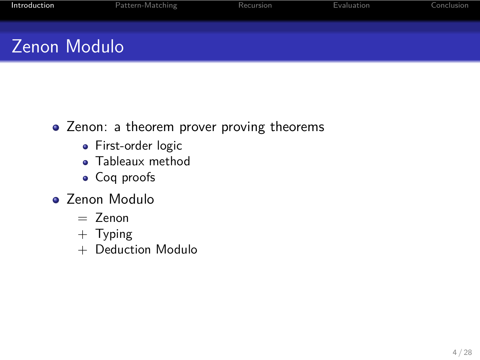## Zenon Modulo

Introduction Pattern-Matching

- Zenon: a theorem prover proving theorems
	- **•** First-order logic
	- Tableaux method
	- Coq proofs
- Zenon Modulo
	- $=$  Zenon
	- + Typing
	- + Deduction Modulo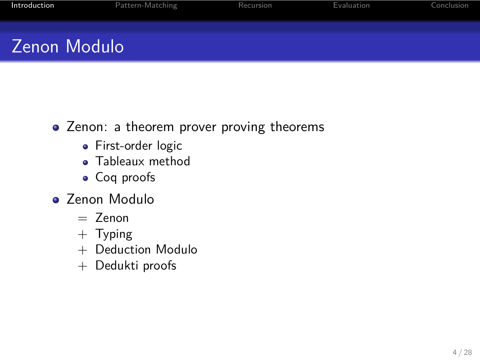#### Zenon Modulo

Introduction Pattern-Matching

- Zenon: a theorem prover proving theorems
	- **•** First-order logic
	- Tableaux method
	- Coq proofs
- Zenon Modulo
	- $=$  Zenon
	- + Typing
	- + Deduction Modulo
	- + Dedukti proofs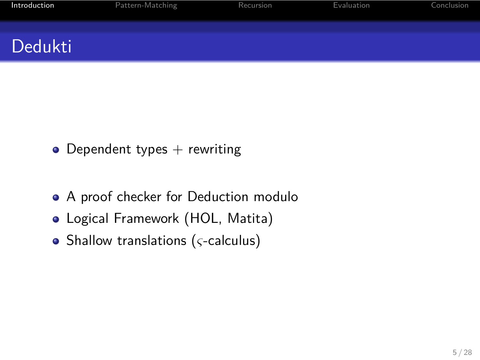#### Dedukti

- $\bullet$  Dependent types  $+$  rewriting
- A proof checker for Deduction modulo

- Logical Framework (HOL, Matita)
- Shallow translations (*ς*-calculus)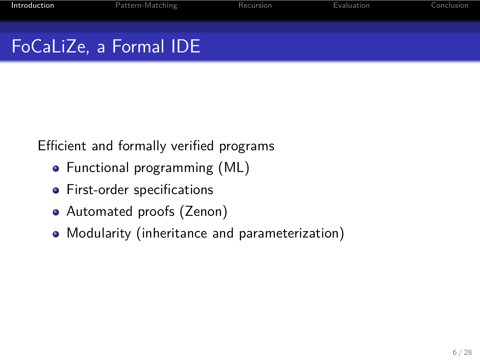#### FoCaLiZe, a Formal IDE

Introduction Pattern-Matching

Efficient and formally verified programs

- Functional programming (ML)
- **•** First-order specifications
- Automated proofs (Zenon)
- Modularity (inheritance and parameterization)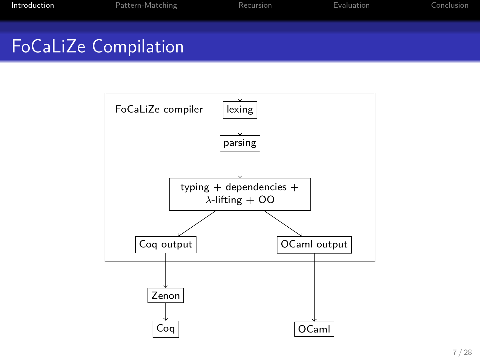## FoCaLiZe Compilation

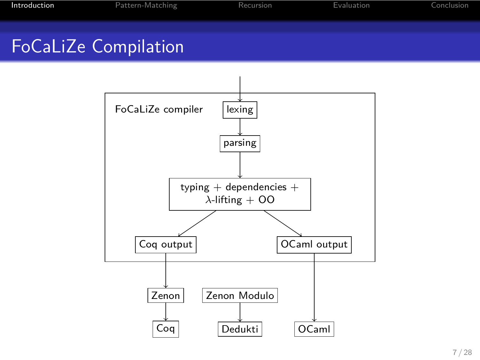## FoCaLiZe Compilation

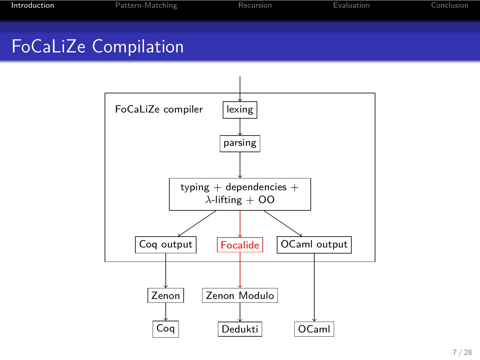## FoCaLiZe Compilation

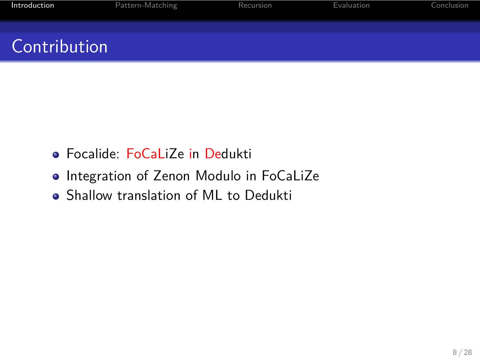## **Contribution**

- Focalide: FoCaLiZe in Dedukti
- Integration of Zenon Modulo in FoCaLiZe

Introduction **Pattern-Matching** Recursion Evaluation

Shallow translation of ML to Dedukti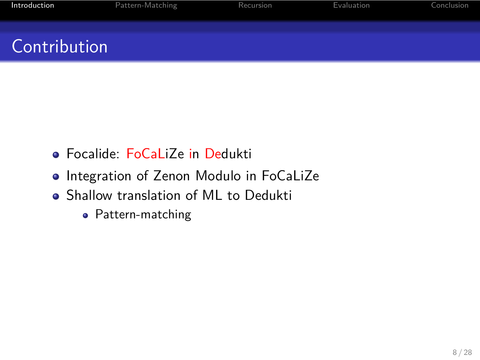## **Contribution**

- Focalide: FoCaLiZe in Dedukti
- Integration of Zenon Modulo in FoCaLiZe

- Shallow translation of ML to Dedukti
	- Pattern-matching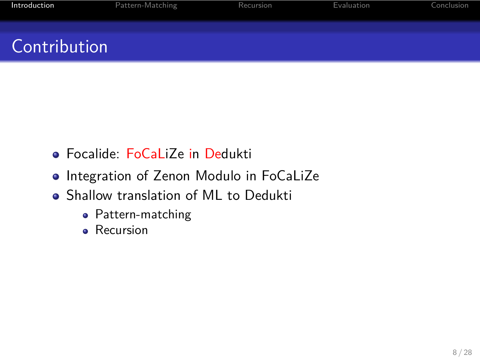## **Contribution**

- Focalide: FoCaLiZe in Dedukti
- Integration of Zenon Modulo in FoCaLiZe

- Shallow translation of ML to Dedukti
	- Pattern-matching
	- Recursion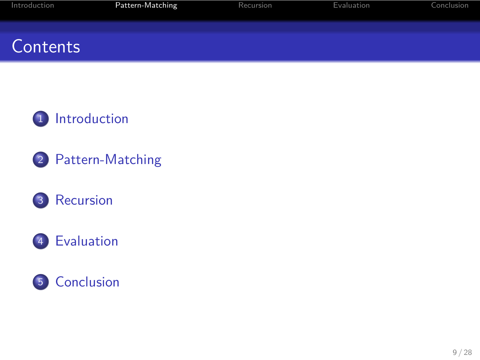## **Contents**



Pattern-Matching Recursion Evaluation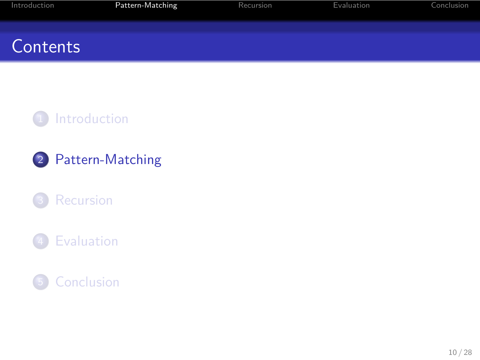## **Contents**



Internalism Pattern-Matching Recursion Evaluation Evaluation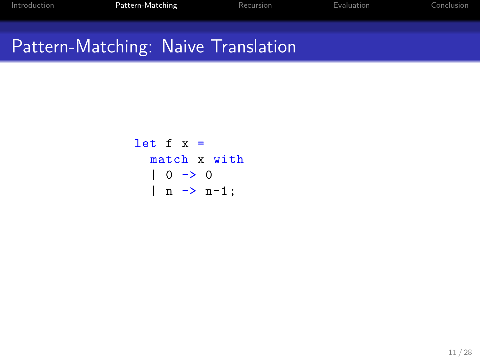```
let f x =match x with
  | 0 \rightarrow 0| n \rightarrow n-1;
```
Pattern-Matching Recursion Recursion Evaluation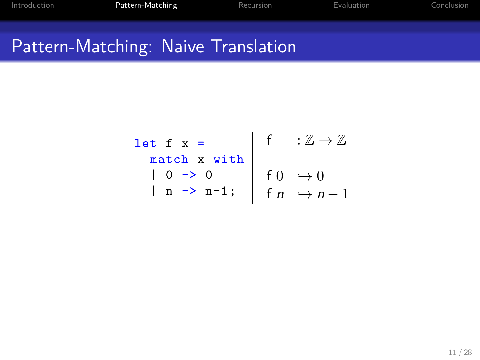| $let f x =$                                                                                                                                                                                                                              | f : $\mathbb{Z} \to \mathbb{Z}$ |
|------------------------------------------------------------------------------------------------------------------------------------------------------------------------------------------------------------------------------------------|---------------------------------|
|                                                                                                                                                                                                                                          |                                 |
|                                                                                                                                                                                                                                          |                                 |
| match x with<br>$\begin{array}{ c c c c c }\n\hline n \text{ a b b} & x & \text{with} & \text{if} \ 0 & \rightarrow 0 & \text{if} \ 0 & \rightarrow 0 & \text{if} \ n & \rightarrow n-1 & \text{if} \ n & \rightarrow n-1 & \end{array}$ |                                 |

Pattern-Matching Recursion Evaluation Conclusion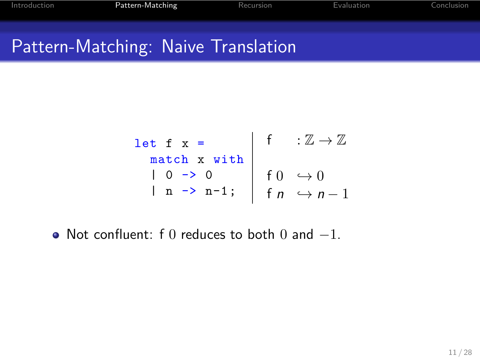$$
\begin{array}{c|cc}\n\text{let } f & x = \\
\text{match } x & \text{with} \\
0 & \text{> 0} \\
n & \text{n > n-1};\n\end{array}\n\quad\n\begin{array}{c|cc}\n\text{f} & : \mathbb{Z} \rightarrow \mathbb{Z} \\
f & \text{> 0} \\
f & \text{> n-1}\n\end{array}
$$

Pattern-Matching Recursion Recursion Evaluation Conclusion

Not confluent: f 0 reduces to both 0 and *−*1.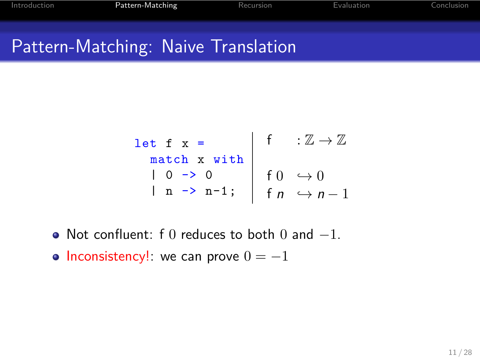$$
\begin{array}{c|cc}\n\text{let } f & x = \\
\text{match } x & \text{with} \\
0 & \text{> 0} \\
n & \text{> n-1};\n\end{array}\n\quad\n\begin{array}{c|cc}\n\text{f} & \text{:}\ \mathbb{Z} \rightarrow \mathbb{Z} \\
f & \text{> 0} \\
f & \text{> n-1}\n\end{array}
$$

Pattern-Matching Recursion Evaluation

- Not confluent: f 0 reduces to both 0 and *−*1.
- Inconsistency!: we can prove 0 = *−*1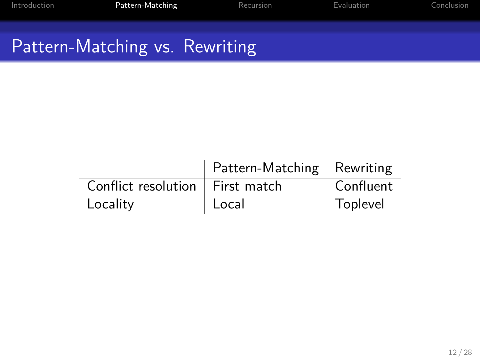# Pattern-Matching vs. Rewriting

|                                   | Pattern-Matching Rewriting |           |
|-----------------------------------|----------------------------|-----------|
| Conflict resolution   First match |                            | Confluent |
| Locality                          | $ $ Local                  | Toplevel  |

Pattern-Matching Recursion Evaluation Conclusion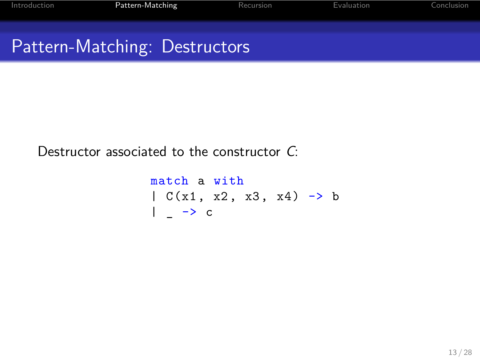## Pattern-Matching: Destructors

Destructor associated to the constructor *C*:

match a with  $| C(x1, x2, x3, x4) > b$  $|$   $\rightarrow$  c

Pattern-Matching Recursion Evaluation Evaluation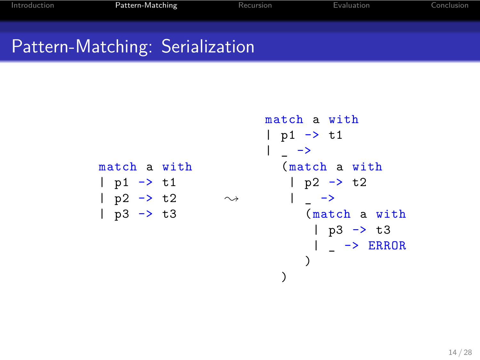## Pattern-Matching: Serialization

Pattern-Matching

```
match a with
| p1 \rightarrow t1
| p2 \rightarrow t2| p3 -> t3
                        \rightsquigarrowmatch a with
                               | p1 \rightarrow t1
                               | \_ ->
                                  (match a with
                                   | p2 -> t2
                                    |\quad \_ \_ \rightarrow(match a with
                                       | p3 \rightarrow t3
                                       | \rightarrow ERROR
                                       )
                                  \, \,
```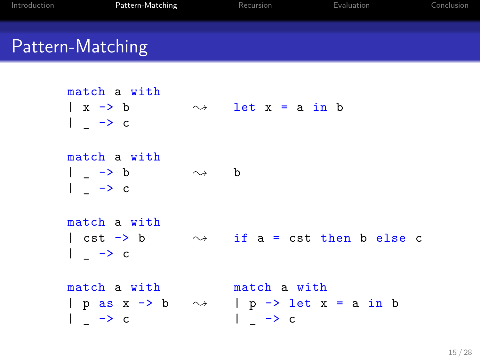# Pattern-Matching

| match a with<br>$\vert x \rightarrow b$<br>$\vert \quad - \rangle$ c                             |                      | $\rightsquigarrow$ let x = a in b                                       |
|--------------------------------------------------------------------------------------------------|----------------------|-------------------------------------------------------------------------|
| match a with<br>$\vert \quad - \rangle$ b<br>$\left  \begin{array}{cc} \end{array} \right $ -> c | $\rightsquigarrow$ b |                                                                         |
| match a with<br>$  \rightarrow c$                                                                |                      | $\vert$ cst $\rightarrow$ b $\rightarrow$ if a = cst then b else c      |
| match a with match a with<br>$  \rightarrow c$                                                   |                      | $ $ p as x -> b $\sim$ $ $ p -> let x = a in b<br>$\vert \rightarrow c$ |

Pattern-Matching Recursion Evaluation Conclusion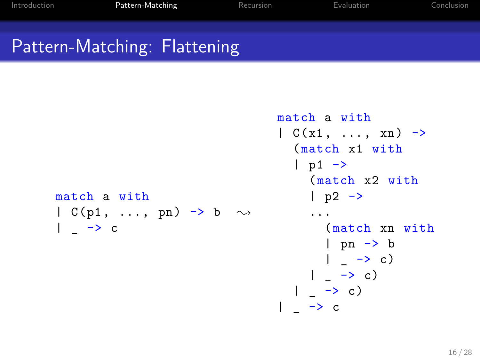#### Pattern-Matching: Flattening

Pattern-Matching

```
match a with
| C(p1, \ldots, pn) \rightarrow b \sim| \_ -> c
                                        | C(x1, \ldots, xn) \rightarrow(match x1 with
                                           | p1 \rightarrow(match x2 with
                                             | p2 \rightarrow...
                                                (match xn with
                                                | pn -> b
                                                 | - \rightarrow c)| - \rightarrow c)| - \rightarrow c)| \_ -> c
```
match a with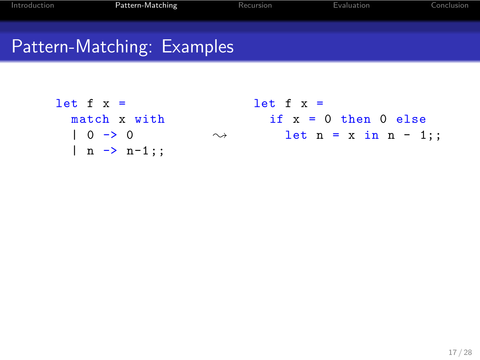## Pattern-Matching: Examples

troduction **Pattern-Matching** Recursion Evaluation

 $\rightsquigarrow$ 

let  $f x =$ match x with  $| 0 \rightarrow 0$  $| n \rightarrow n-1; ;$ 

let  $f x =$ if  $x = 0$  then 0 else let  $n = x$  in  $n - 1$ ;;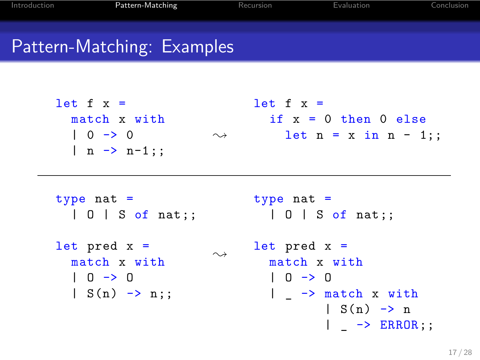# Pattern-Matching: Examples

| let $f x =$<br>match x with<br>$  0 \rightarrow 0$<br>$  n \rightarrow n-1; ;$      | $\rightsquigarrow$ | $let f x =$<br>if $x = 0$ then $0$ else<br>$let n = x in n - 1$ ;                                                                                                             |
|-------------------------------------------------------------------------------------|--------------------|-------------------------------------------------------------------------------------------------------------------------------------------------------------------------------|
| type $nat =$<br>$  0   S$ of nat;;                                                  |                    | type $nat =$<br>$  0   S$ of nat;;                                                                                                                                            |
| $let$ pred $x =$<br>match x with<br>$  0 \rightarrow 0$<br>$  S(n) \rightarrow n$ ; | $\rightsquigarrow$ | $let$ pred $x =$<br>match x with<br>$  0 \rightarrow 0$<br>$\vert \quad \rightarrow \text{match} \times \text{with}$<br>$  S(n) \rightarrow n$<br>$\vert \rightarrow$ ERROR;; |
|                                                                                     |                    |                                                                                                                                                                               |

Pattern-Matching **Pattern-Matching** Recursion **Evaluation** Evaluation Conclusion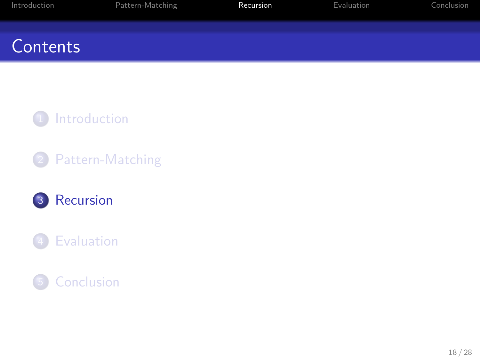## **Contents**



Internal Pattern-Matching **Recursion** Recursion Evaluation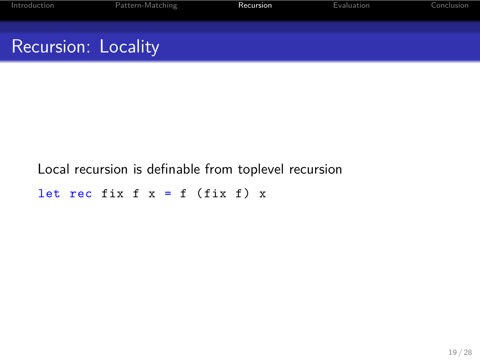## Recursion: Locality

Local recursion is definable from toplevel recursion

Pattern-Matching **Internation** Recursion **Conclusion** Evaluation

let rec fix  $f(x) = f(f(x))$  x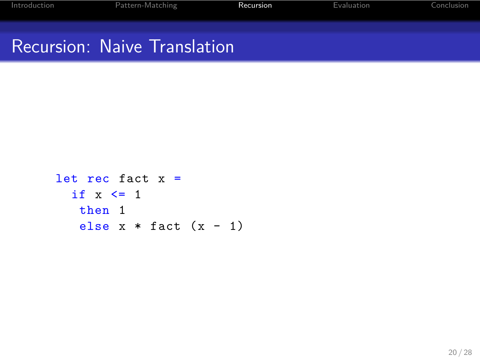```
let rec fact x =if x \leq 1then 1
  else x * fact (x - 1)
```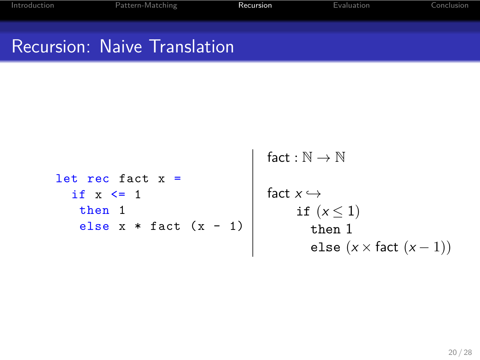Pattern-Matching **Recursion** 

```
let rec fact x =if x \leq 1then 1
    else x * fact (x - 1)fact : \mathbb{N} \to \mathbb{N}fact x \hookrightarrowif (x \leq 1)then 1
                                             else (x × fact (x − 1))
```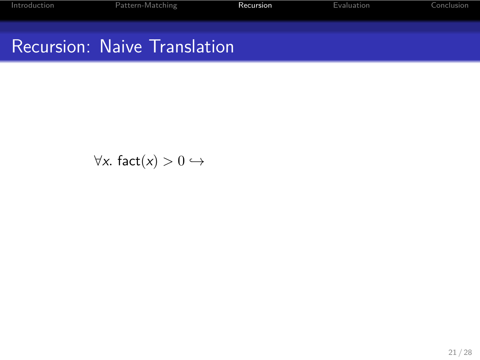*∀x.* fact $(x) > 0$   $\hookrightarrow$ 

Pattern-Matching **Recursion** Recursion Evaluation Conclusion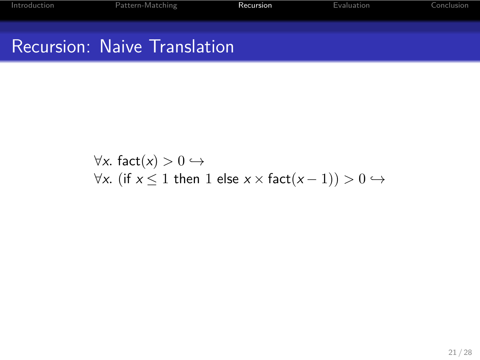*∀x.* fact $(x) > 0$   $\hookrightarrow$ *∀x.* (if *x*  $\leq$  1 then 1 else *x*  $\times$  fact(*x −* 1)) > 0  $\hookrightarrow$ 

Pattern-Matching **Recursion Recursion** Evaluati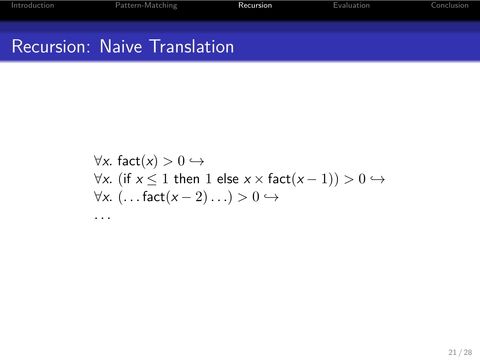```
∀x. fact(x) > 0 \hookrightarrow∀x. (if x ≤ 1 then 1 else x × fact(x − 1)) > 0 ,→
∀x. (. . . fact(x − 2). . .) > 0 ,→
. . .
```
Pattern-Matching **Internal Recursion Example 2** Evaluat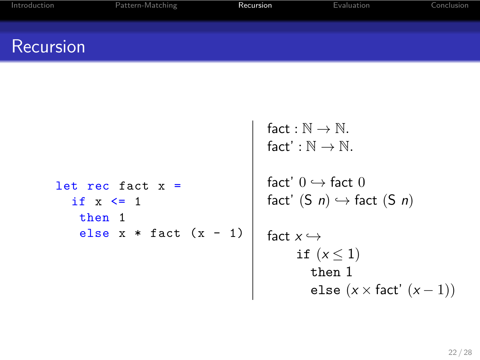#### Recursion

```
let rec fact x =if x \leq 1then 1
     else x * fact (x - 1)fact : \mathbb{N} \to \mathbb{N}.
                                                \mathsf{fact}':\mathbb{N}\to\mathbb{N}.fact'0 \hookrightarrow fact 0fact' (S \nvert n) \hookrightarrow fact (S \nvert n)fact x \hookrightarrowif (x \leq 1)then 1
                                                          else (x × fact' (x − 1))
```
Introduction **Pattern-Matching Recursion** Recursion **Evaluation** Conclusion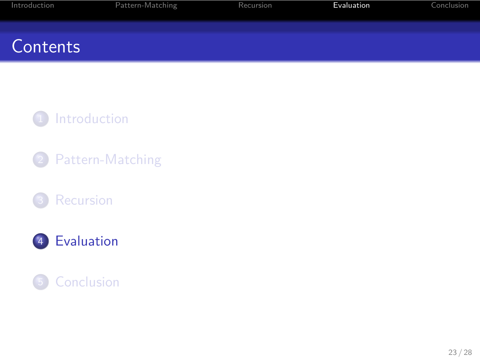## **Contents**



Internal Pattern-Matching Recursion Recursion **Evaluation** Conclusi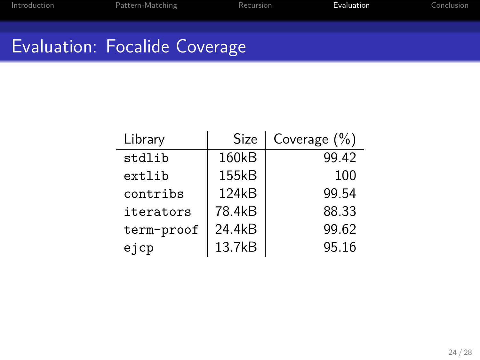# Evaluation: Focalide Coverage

| Library    | Size   | Coverage $(\% )$ |
|------------|--------|------------------|
| stdlib     | 160kB  | 99.42            |
| extlib     | 155kB  | 100              |
| contribs   | 124kB  | 99.54            |
| iterators  | 78.4kB | 88.33            |
| term-proof | 24.4kB | 99.62            |
| ejcp       | 13.7kB | 95.16            |

Pattern-Matching **Recursion** Recursion **Evaluation** Conclusion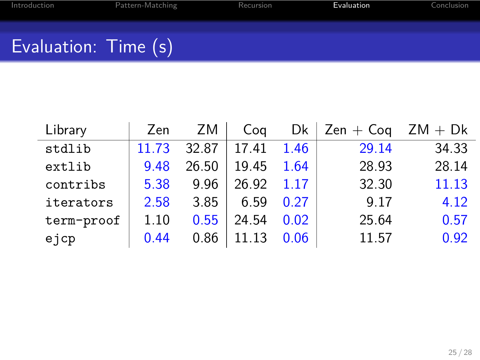# Pattern-Matching **Recursion** Recursion **Evaluation** Conclusio Evaluation: Time (s)

| Library    | Zen   | ZM    | Cog   | Dk   | $Zen + Coq$ | $ZM + Dk$ |
|------------|-------|-------|-------|------|-------------|-----------|
| stdlib     | 11.73 | 32.87 | 17.41 | 1.46 | 29.14       | 34.33     |
| extlib     | 9.48  | 26.50 | 19.45 | 1.64 | 28.93       | 28.14     |
| contribs   | 5.38  | 9.96  | 26.92 | 1 17 | 32.30       | 11.13     |
| iterators  | 2.58  | 3.85  | 6.59  | 0.27 | 9.17        | 4.12      |
| term-proof | 1.10  | 0.55  | 24.54 | 0.02 | 25.64       | 0.57      |
| ejcp       | 0.44  | 0.86  | 11 13 | 0.06 | 11.57       | 0.92      |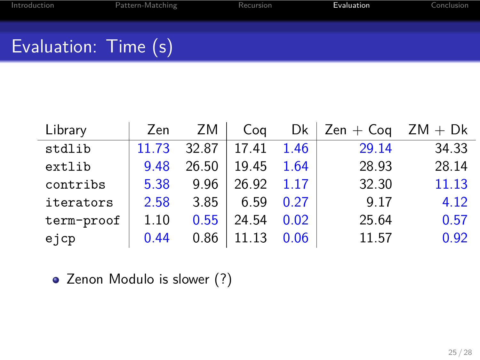# Pattern-Matching **Recursion** Recursion **Evaluation** Conclusio Evaluation: Time (s)

| Library    | Zen   | ZM    | Cog   |       | $Dk \mid Zen + Coq$ | $ZM + Dk$ |
|------------|-------|-------|-------|-------|---------------------|-----------|
| stdlib     | 11.73 | 32.87 | 17.41 | 1.46  | 29.14               | 34.33     |
| extlib     | 9.48  | 26.50 | 19.45 | 1.64  | 28.93               | 28.14     |
| contribs   | 5.38  | 9.96  | 26.92 | 1 1 7 | 32.30               | 11.13     |
| iterators  | 2.58  | 3.85  | 6.59  | 0.27  | 9.17                | 4.12      |
| term-proof | 1.10  | 0.55  | 24.54 | 0.02  | 25.64               | 0.57      |
| ejcp       | 0.44  | 0.86  | 11 13 | 0.06  | 11.57               | 0.92      |

• Zenon Modulo is slower (?)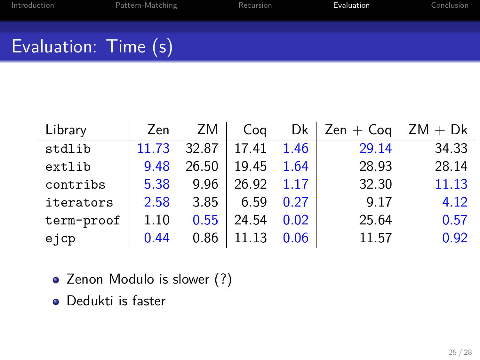# Pattern-Matching Recursion Recursion **Evaluation** Conclusio Evaluation: Time (s)

| Library    | Zen   | ZM.   | Cog   | Dk   | $Zen + Coq$ | $ZM + Dk$ |
|------------|-------|-------|-------|------|-------------|-----------|
| stdlib     | 11.73 | 32.87 | 17.41 | 1.46 | 29.14       | 34.33     |
| extlib     | 9.48  | 26.50 | 19.45 | 1.64 | 28.93       | 28.14     |
| contribs   | 5.38  | 9.96  | 26.92 | 1.17 | 32.30       | 11.13     |
| iterators  | 2.58  | 3.85  | 6.59  | 0.27 | 9.17        | 4.12      |
| term-proof | 1.10  | 0.55  | 24.54 | 0.02 | 25.64       | 0.57      |
| ejcp       | 0.44  | 0.86  | 11 13 | 0.06 | 11.57       | 0.92      |

- Zenon Modulo is slower (?)
- Dedukti is faster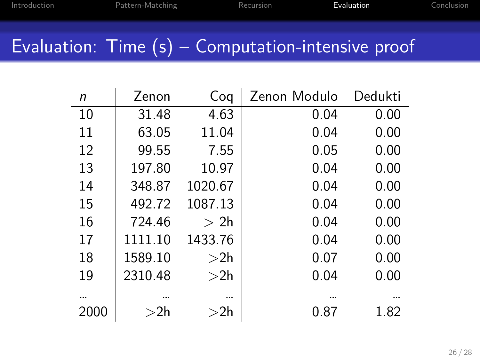# Evaluation: Time (s) – Computation-intensive proof

Pattern-Matching **Recursion** Recursion **Evaluation** Conclusion

| n    | Zenon   | Coq     | Zenon Modulo | Dedukti |
|------|---------|---------|--------------|---------|
| 10   | 31.48   | 4.63    | 0.04         | 0.00    |
| 11   | 63.05   | 11.04   | 0.04         | 0.00    |
| 12   | 99.55   | 7.55    | 0.05         | 0.00    |
| 13   | 197.80  | 10.97   | 0.04         | 0.00    |
| 14   | 348.87  | 1020.67 | 0.04         | 0.00    |
| 15   | 492.72  | 1087.13 | 0.04         | 0.00    |
| 16   | 724.46  | >2h     | 0.04         | 0.00    |
| 17   | 1111.10 | 1433.76 | 0.04         | 0.00    |
| 18   | 1589.10 | >2h     | 0.07         | 0.00    |
| 19   | 2310.48 | >2h     | 0.04         | 0.00    |
|      |         |         |              |         |
| 2000 | $>$ 2h  | $>$ 2h  | 0.87         | 1.82    |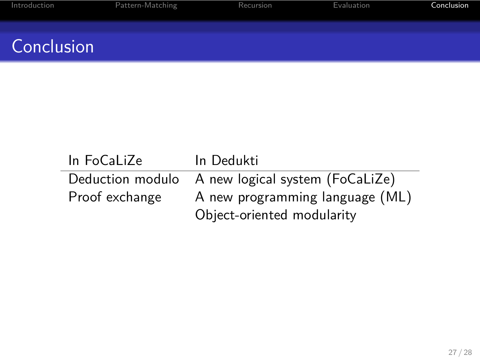## **Conclusion**

In FoCaLiZe In Dedukti<br>Deduction modulo A new logion A new logical system (FoCaLiZe) Proof exchange A new programming language (ML) Object-oriented modularity

Introduction **Pattern-Matching Recursion** Recursion **Evaluation** Conclusion